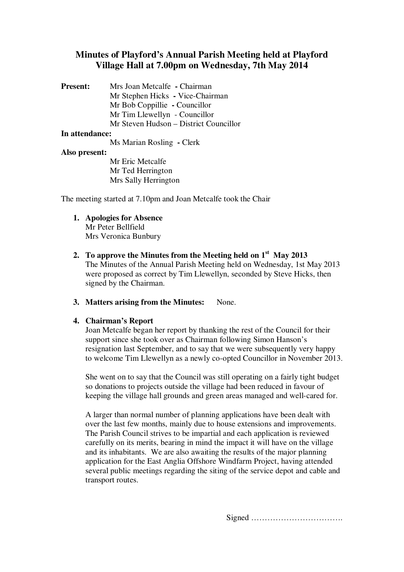# **Minutes of Playford's Annual Parish Meeting held at Playford Village Hall at 7.00pm on Wednesday, 7th May 2014**

| <b>Present:</b> | Mrs Joan Metcalfe - Chairman           |
|-----------------|----------------------------------------|
|                 | Mr Stephen Hicks - Vice-Chairman       |
|                 | Mr Bob Coppillie - Councillor          |
|                 | Mr Tim Llewellyn - Councillor          |
|                 | Mr Steven Hudson – District Councillor |
|                 |                                        |

#### **In attendance:**

Ms Marian Rosling **-** Clerk

## **Also present:**

Mr Eric Metcalfe Mr Ted Herrington Mrs Sally Herrington

The meeting started at 7.10pm and Joan Metcalfe took the Chair

- **1. Apologies for Absence** Mr Peter Bellfield Mrs Veronica Bunbury
- **2. To approve the Minutes from the Meeting held on 1st May 2013** The Minutes of the Annual Parish Meeting held on Wednesday, 1st May 2013 were proposed as correct by Tim Llewellyn, seconded by Steve Hicks, then signed by the Chairman.
- **3. Matters arising from the Minutes:** None.

# **4. Chairman's Report**

Joan Metcalfe began her report by thanking the rest of the Council for their support since she took over as Chairman following Simon Hanson's resignation last September, and to say that we were subsequently very happy to welcome Tim Llewellyn as a newly co-opted Councillor in November 2013.

She went on to say that the Council was still operating on a fairly tight budget so donations to projects outside the village had been reduced in favour of keeping the village hall grounds and green areas managed and well-cared for.

A larger than normal number of planning applications have been dealt with over the last few months, mainly due to house extensions and improvements. The Parish Council strives to be impartial and each application is reviewed carefully on its merits, bearing in mind the impact it will have on the village and its inhabitants. We are also awaiting the results of the major planning application for the East Anglia Offshore Windfarm Project, having attended several public meetings regarding the siting of the service depot and cable and transport routes.

Signed …………………………….